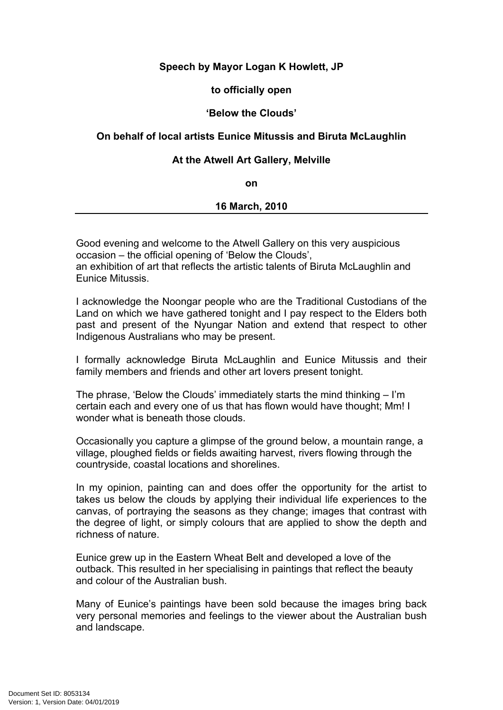# **Speech by Mayor Logan K Howlett, JP**

### **to officially open**

### **'Below the Clouds'**

## **On behalf of local artists Eunice Mitussis and Biruta McLaughlin**

### **At the Atwell Art Gallery, Melville**

**on** 

#### **16 March, 2010**

Good evening and welcome to the Atwell Gallery on this very auspicious occasion – the official opening of 'Below the Clouds', an exhibition of art that reflects the artistic talents of Biruta McLaughlin and Eunice Mitussis.

I acknowledge the Noongar people who are the Traditional Custodians of the Land on which we have gathered tonight and I pay respect to the Elders both past and present of the Nyungar Nation and extend that respect to other Indigenous Australians who may be present.

I formally acknowledge Biruta McLaughlin and Eunice Mitussis and their family members and friends and other art lovers present tonight.

The phrase, 'Below the Clouds' immediately starts the mind thinking – I'm certain each and every one of us that has flown would have thought; Mm! I wonder what is beneath those clouds.

Occasionally you capture a glimpse of the ground below, a mountain range, a village, ploughed fields or fields awaiting harvest, rivers flowing through the countryside, coastal locations and shorelines.

In my opinion, painting can and does offer the opportunity for the artist to takes us below the clouds by applying their individual life experiences to the canvas, of portraying the seasons as they change; images that contrast with the degree of light, or simply colours that are applied to show the depth and richness of nature.

Eunice grew up in the Eastern Wheat Belt and developed a love of the outback. This resulted in her specialising in paintings that reflect the beauty and colour of the Australian bush.

Many of Eunice's paintings have been sold because the images bring back very personal memories and feelings to the viewer about the Australian bush and landscape.